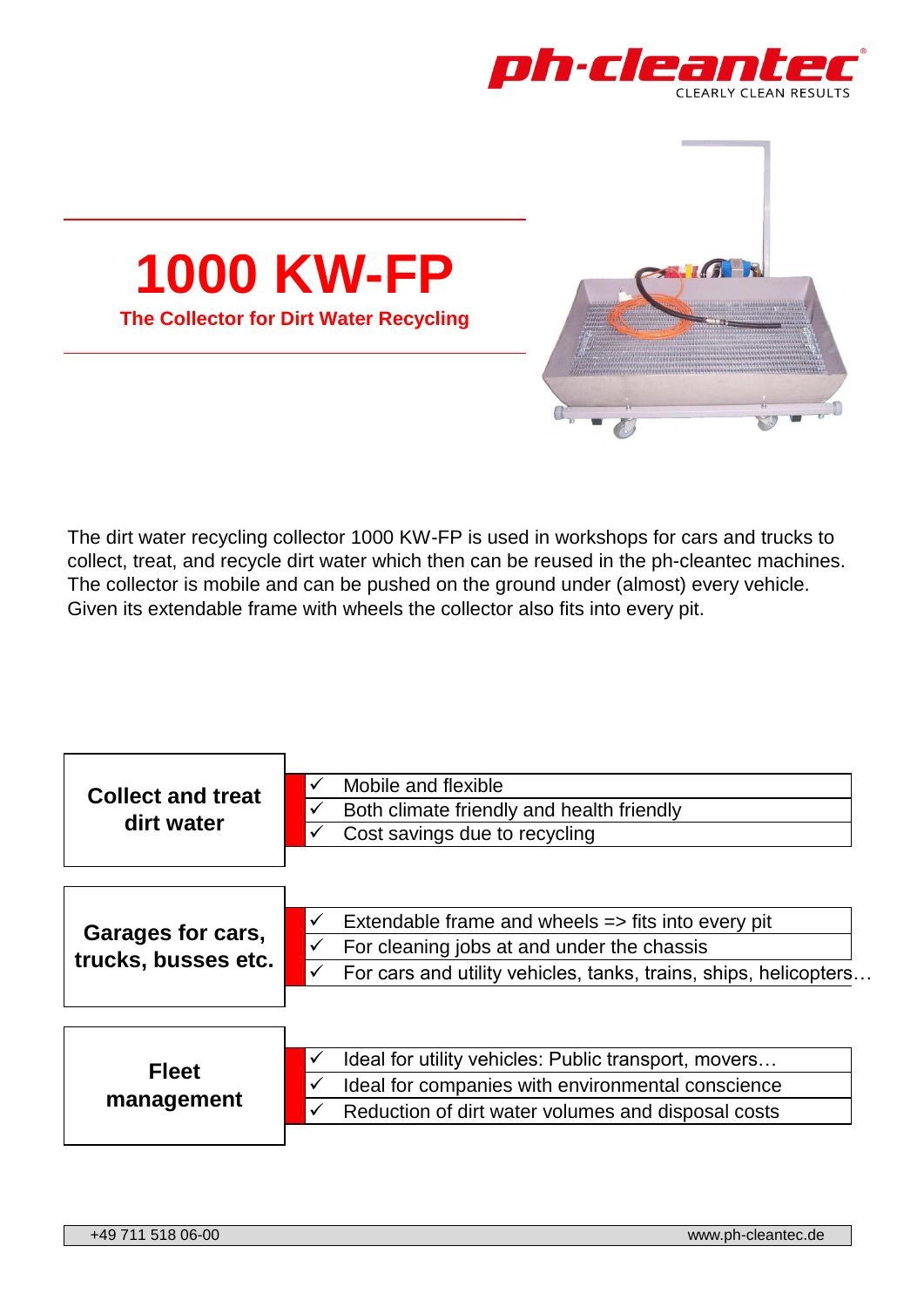



The dirt water recycling collector 1000 KW-FP is used in workshops for cars and trucks to collect, treat, and recycle dirt water which then can be reused in the ph-cleantec machines. The collector is mobile and can be pushed on the ground under (almost) every vehicle. Given its extendable frame with wheels the collector also fits into every pit.

| <b>Collect and treat</b><br>dirt water   | Mobile and flexible<br>✓<br>Both climate friendly and health friendly<br>✓<br>Cost savings due to recycling<br>✔                                                                                |
|------------------------------------------|-------------------------------------------------------------------------------------------------------------------------------------------------------------------------------------------------|
| Garages for cars,<br>trucks, busses etc. | Extendable frame and wheels $\Rightarrow$ fits into every pit<br>✓<br>For cleaning jobs at and under the chassis<br>✓<br>For cars and utility vehicles, tanks, trains, ships, helicopters.<br>✓ |
| <b>Fleet</b><br>management               | Ideal for utility vehicles: Public transport, movers<br>✓<br>Ideal for companies with environmental conscience<br>✔<br>Reduction of dirt water volumes and disposal costs<br>✓                  |